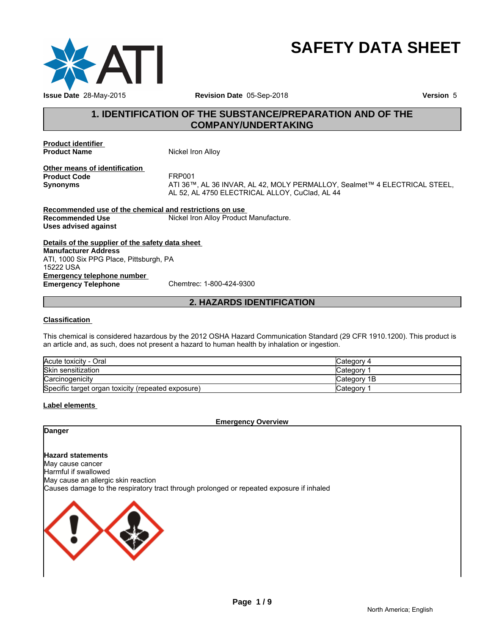

# **SAFETY DATA SHEET**

# **1. IDENTIFICATION OF THE SUBSTANCE/PREPARATION AND OF THE COMPANY/UNDERTAKING**

**Product identifier** 

**Nickel Iron Alloy** 

**Other means of identification**<br>**Product Code** FRP001 **Product Code**<br>Synonyms

**Synonyms** ATI 36™, AL 36 INVAR, AL 42, MOLY PERMALLOY, Sealmet™ 4 ELECTRICAL STEEL, AL 52, AL 4750 ELECTRICAL ALLOY, CuClad, AL 44

**Recommended use of the chemical and restrictions on use Recommended Use The South Alloy Product Manufacture. Uses advised against**

**Details of the supplier of the safety data sheet Emergency telephone number**<br> **Emergency Telephone**<br>
Chemtrec: 1-800-424-9300 **Emergency Telephone Manufacturer Address** ATI, 1000 Six PPG Place, Pittsburgh, PA 15222 USA

# **2. HAZARDS IDENTIFICATION**

### **Classification**

This chemical is considered hazardous by the 2012 OSHA Hazard Communication Standard (29 CFR 1910.1200). This product is an article and, as such, does not present a hazard to human health by inhalation or ingestion.

| Acute toxicity - Oral                              | Category 4   |
|----------------------------------------------------|--------------|
| Skin sensitization                                 | Category     |
| Carcinogenicity                                    | lCategory 1B |
| Specific target organ toxicity (repeated exposure) | Category     |

### **Label elements**

**Emergency Overview**

# **Danger**

**Hazard statements** May cause cancer Harmful if swallowed May cause an allergic skin reaction Causes damage to the respiratory tract through prolonged or repeated exposure if inhaled

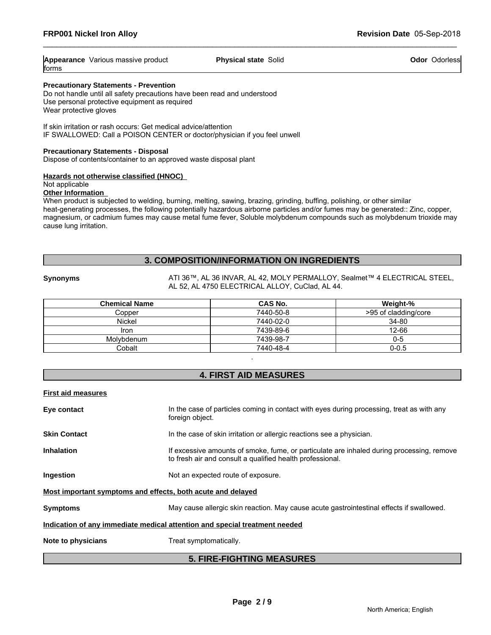| Appearance              | <b>Physical state</b> | Odorless |
|-------------------------|-----------------------|----------|
| Various massive product | Solic                 | Odor     |
| lforms                  |                       |          |

### **Precautionary Statements - Prevention**

Do not handle until all safety precautions have been read and understood Use personal protective equipment as required Wear protective gloves

If skin irritation or rash occurs: Get medical advice/attention IF SWALLOWED: Call a POISON CENTER or doctor/physician if you feel unwell

### **Precautionary Statements - Disposal**

Dispose of contents/container to an approved waste disposal plant

### **Hazards not otherwise classified (HNOC)**

Not applicable

### **Other Information**

When product is subjected to welding, burning, melting, sawing, brazing, grinding, buffing, polishing, or other similar heat-generating processes, the following potentially hazardous airborne particles and/or fumes may be generated:: Zinc, copper, magnesium, or cadmium fumes may cause metal fume fever, Soluble molybdenum compounds such as molybdenum trioxide may cause lung irritation.

# **3. COMPOSITION/INFORMATION ON INGREDIENTS**

**Synonyms** ATI 36™, AL 36 INVAR, AL 42, MOLY PERMALLOY, Sealmet™ 4 ELECTRICAL STEEL, AL 52, AL 4750 ELECTRICAL ALLOY, CuClad, AL 44.

| <b>Chemical Name</b> | CAS No.   | Weight-%             |
|----------------------|-----------|----------------------|
| Copper               | 7440-50-8 | >95 of cladding/core |
| <b>Nickel</b>        | 7440-02-0 | 34-80                |
| Iron                 | 7439-89-6 | 12-66                |
| Molvbdenum           | 7439-98-7 | 0-5                  |
| Cobalt               | 7440-48-4 | $0 - 0.5$            |

# **4. FIRST AID MEASURES**

.

**First aid measures**

| Eye contact                                                                | In the case of particles coming in contact with eyes during processing, treat as with any<br>foreign object.                                           |  |  |  |
|----------------------------------------------------------------------------|--------------------------------------------------------------------------------------------------------------------------------------------------------|--|--|--|
| <b>Skin Contact</b>                                                        | In the case of skin irritation or allergic reactions see a physician.                                                                                  |  |  |  |
| <b>Inhalation</b>                                                          | If excessive amounts of smoke, fume, or particulate are inhaled during processing, remove<br>to fresh air and consult a qualified health professional. |  |  |  |
| <b>Ingestion</b>                                                           | Not an expected route of exposure.                                                                                                                     |  |  |  |
| Most important symptoms and effects, both acute and delayed                |                                                                                                                                                        |  |  |  |
| <b>Symptoms</b>                                                            | May cause allergic skin reaction. May cause acute gastrointestinal effects if swallowed.                                                               |  |  |  |
| Indication of any immediate medical attention and special treatment needed |                                                                                                                                                        |  |  |  |
| Note to physicians                                                         | Treat symptomatically.                                                                                                                                 |  |  |  |

# **5. FIRE-FIGHTING MEASURES**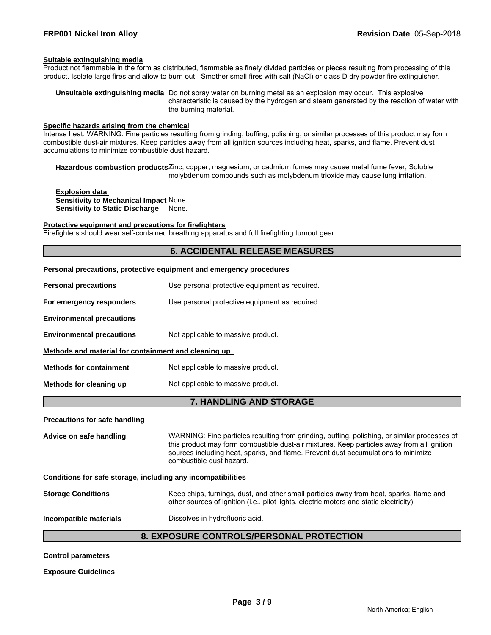### **Suitable extinguishing media**

Product not flammable in the form as distributed, flammable as finely divided particles or pieces resulting from processing of this product. Isolate large fires and allow to burn out. Smother small fires with salt (NaCl) or class D dry powder fire extinguisher.

**Unsuitable extinguishing media** Do not spray water on burning metal as an explosion may occur. This explosive characteristic is caused by the hydrogen and steam generated by the reaction of water with the burning material.

### **Specific hazards arising from the chemical**

Intense heat. WARNING: Fine particles resulting from grinding, buffing, polishing, or similar processes of this product may form combustible dust-air mixtures. Keep particles away from all ignition sources including heat, sparks, and flame. Prevent dust accumulations to minimize combustible dust hazard.

**Hazardous combustion products**Zinc, copper, magnesium, or cadmium fumes may cause metal fume fever, Soluble molybdenum compounds such as molybdenum trioxide may cause lung irritation.

**Explosion data Sensitivity to Mechanical Impact** None. **Sensitivity to Static Discharge** None.

### **Protective equipment and precautions for firefighters**

Firefighters should wear self-contained breathing apparatus and full firefighting turnout gear.

# **6. ACCIDENTAL RELEASE MEASURES**

### **Personal precautions, protective equipment and emergency procedures**

| <b>Personal precautions</b>                                  | Use personal protective equipment as required.                                                                                                                                                                                                                                                              |  |  |  |
|--------------------------------------------------------------|-------------------------------------------------------------------------------------------------------------------------------------------------------------------------------------------------------------------------------------------------------------------------------------------------------------|--|--|--|
| For emergency responders                                     | Use personal protective equipment as required.                                                                                                                                                                                                                                                              |  |  |  |
| <b>Environmental precautions</b>                             |                                                                                                                                                                                                                                                                                                             |  |  |  |
| <b>Environmental precautions</b>                             | Not applicable to massive product.                                                                                                                                                                                                                                                                          |  |  |  |
| Methods and material for containment and cleaning up         |                                                                                                                                                                                                                                                                                                             |  |  |  |
| <b>Methods for containment</b>                               | Not applicable to massive product.                                                                                                                                                                                                                                                                          |  |  |  |
| Methods for cleaning up                                      | Not applicable to massive product.                                                                                                                                                                                                                                                                          |  |  |  |
|                                                              | 7. HANDLING AND STORAGE                                                                                                                                                                                                                                                                                     |  |  |  |
| <b>Precautions for safe handling</b>                         |                                                                                                                                                                                                                                                                                                             |  |  |  |
| Advice on safe handling                                      | WARNING: Fine particles resulting from grinding, buffing, polishing, or similar processes of<br>this product may form combustible dust-air mixtures. Keep particles away from all ignition<br>sources including heat, sparks, and flame. Prevent dust accumulations to minimize<br>combustible dust hazard. |  |  |  |
| Conditions for safe storage, including any incompatibilities |                                                                                                                                                                                                                                                                                                             |  |  |  |
| <b>Storage Conditions</b>                                    | Keep chips, turnings, dust, and other small particles away from heat, sparks, flame and<br>other sources of ignition (i.e., pilot lights, electric motors and static electricity).                                                                                                                          |  |  |  |
| Incompatible materials                                       | Dissolves in hydrofluoric acid.                                                                                                                                                                                                                                                                             |  |  |  |
|                                                              | <b>8. EXPOSURE CONTROLS/PERSONAL PROTECTION</b>                                                                                                                                                                                                                                                             |  |  |  |

**Control parameters** 

**Exposure Guidelines**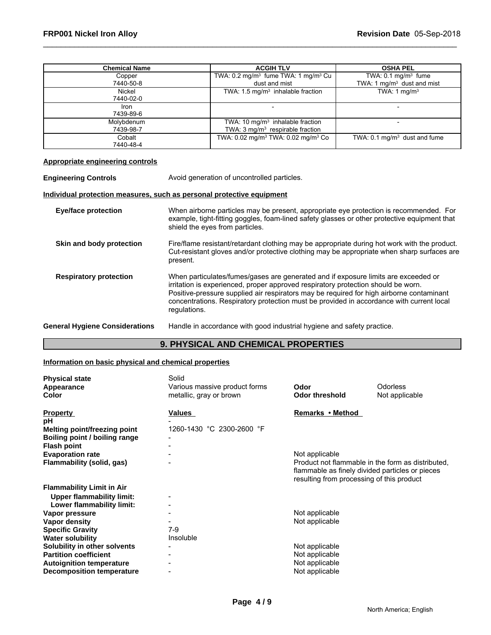| <b>Chemical Name</b> | <b>ACGIH TLV</b>                                            | <b>OSHA PEL</b>                         |
|----------------------|-------------------------------------------------------------|-----------------------------------------|
| Copper               | TWA: 0.2 mg/m <sup>3</sup> fume TWA: 1 mg/m <sup>3</sup> Cu | TWA: $0.1 \text{ mg/m}$ fume            |
| 7440-50-8            | dust and mist                                               | TWA: 1 mg/m <sup>3</sup> dust and mist  |
| Nickel               | TWA: $1.5 \text{ mg/m}^3$ inhalable fraction                | TWA: $1 \text{ mg/m}^3$                 |
| 7440-02-0            |                                                             |                                         |
| Iron                 |                                                             |                                         |
| 7439-89-6            |                                                             |                                         |
| Molybdenum           | TWA: 10 $mg/m3$ inhalable fraction                          |                                         |
| 7439-98-7            | TWA: 3 mg/m <sup>3</sup> respirable fraction                |                                         |
| Cobalt               | TWA: 0.02 mg/m <sup>3</sup> TWA: 0.02 mg/m <sup>3</sup> Co  | TWA: $0.1 \text{ mg/m}^3$ dust and fume |
| 7440-48-4            |                                                             |                                         |

### **Appropriate engineering controls**

**Engineering Controls** Avoid generation of uncontrolled particles.

# **Individual protection measures, such as personal protective equipment**

| <b>Eye/face protection</b>            | When airborne particles may be present, appropriate eye protection is recommended. For<br>example, tight-fitting goggles, foam-lined safety glasses or other protective equipment that<br>shield the eyes from particles.                                                                                                                                                       |
|---------------------------------------|---------------------------------------------------------------------------------------------------------------------------------------------------------------------------------------------------------------------------------------------------------------------------------------------------------------------------------------------------------------------------------|
| Skin and body protection              | Fire/flame resistant/retardant clothing may be appropriate during hot work with the product.<br>Cut-resistant gloves and/or protective clothing may be appropriate when sharp surfaces are<br>present.                                                                                                                                                                          |
| <b>Respiratory protection</b>         | When particulates/fumes/gases are generated and if exposure limits are exceeded or<br>irritation is experienced, proper approved respiratory protection should be worn.<br>Positive-pressure supplied air respirators may be required for high airborne contaminant<br>concentrations. Respiratory protection must be provided in accordance with current local<br>regulations. |
| <b>General Hygiene Considerations</b> | Handle in accordance with good industrial hygiene and safety practice.                                                                                                                                                                                                                                                                                                          |

# **9. PHYSICAL AND CHEMICAL PROPERTIES**

### **Information on basic physical and chemical properties**

| <b>Physical state</b><br>Appearance<br><b>Color</b>           | Solid<br>Various massive product forms<br>metallic, gray or brown | Odor<br><b>Odor threshold</b>                                                                                                                     | <b>Odorless</b><br>Not applicable |
|---------------------------------------------------------------|-------------------------------------------------------------------|---------------------------------------------------------------------------------------------------------------------------------------------------|-----------------------------------|
| <b>Property</b>                                               | Values                                                            | Remarks • Method                                                                                                                                  |                                   |
| рH                                                            | 1260-1430 °C 2300-2600 °F                                         |                                                                                                                                                   |                                   |
| Melting point/freezing point<br>Boiling point / boiling range |                                                                   |                                                                                                                                                   |                                   |
| <b>Flash point</b>                                            |                                                                   |                                                                                                                                                   |                                   |
| <b>Evaporation rate</b>                                       |                                                                   | Not applicable                                                                                                                                    |                                   |
| Flammability (solid, gas)                                     |                                                                   | Product not flammable in the form as distributed.<br>flammable as finely divided particles or pieces<br>resulting from processing of this product |                                   |
| <b>Flammability Limit in Air</b>                              |                                                                   |                                                                                                                                                   |                                   |
| <b>Upper flammability limit:</b>                              |                                                                   |                                                                                                                                                   |                                   |
| Lower flammability limit:                                     |                                                                   |                                                                                                                                                   |                                   |
| Vapor pressure                                                |                                                                   | Not applicable                                                                                                                                    |                                   |
| Vapor density                                                 |                                                                   | Not applicable                                                                                                                                    |                                   |
| <b>Specific Gravity</b>                                       | $7-9$                                                             |                                                                                                                                                   |                                   |
| <b>Water solubility</b>                                       | Insoluble                                                         |                                                                                                                                                   |                                   |
| Solubility in other solvents                                  |                                                                   | Not applicable                                                                                                                                    |                                   |
| <b>Partition coefficient</b>                                  |                                                                   | Not applicable                                                                                                                                    |                                   |
| <b>Autoignition temperature</b>                               |                                                                   | Not applicable                                                                                                                                    |                                   |
| <b>Decomposition temperature</b>                              |                                                                   | Not applicable                                                                                                                                    |                                   |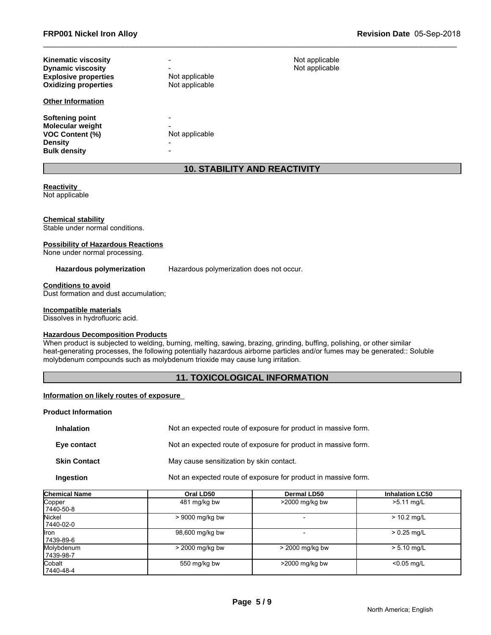| <b>Kinematic viscosity</b><br><b>Dynamic viscosity</b><br><b>Explosive properties</b><br><b>Oxidizing properties</b> | Not applicable<br>Not applicable |
|----------------------------------------------------------------------------------------------------------------------|----------------------------------|
| <b>Other Information</b>                                                                                             |                                  |
| Softening point<br><b>Molecular weight</b><br><b>VOC Content (%)</b><br><b>Density</b><br><b>Bulk density</b>        | Not applicable<br>-              |

# **10. STABILITY AND REACTIVITY**

**Not applicable Not applicable** 

### **Reactivity**

Not applicable

### **Chemical stability**

Stable under normal conditions.

### **Possibility of Hazardous Reactions**

None under normal processing.

**Hazardous polymerization** Hazardous polymerization does not occur.

### **Conditions to avoid**

Dust formation and dust accumulation;

### **Incompatible materials**

Dissolves in hydrofluoric acid.

### **Hazardous Decomposition Products**

When product is subjected to welding, burning, melting, sawing, brazing, grinding, buffing, polishing, or other similar heat-generating processes, the following potentially hazardous airborne particles and/or fumes may be generated:: Soluble molybdenum compounds such as molybdenum trioxide may cause lung irritation.

# **11. TOXICOLOGICAL INFORMATION**

### **Information on likely routes of exposure**

### **Product Information**

| <b>Inhalation</b>   | Not an expected route of exposure for product in massive form. |
|---------------------|----------------------------------------------------------------|
| Eye contact         | Not an expected route of exposure for product in massive form. |
| <b>Skin Contact</b> | May cause sensitization by skin contact.                       |
| <b>Ingestion</b>    | Not an expected route of exposure for product in massive form. |

| <b>Chemical Name</b> | Oral LD50       | Dermal LD50       | <b>Inhalation LC50</b> |
|----------------------|-----------------|-------------------|------------------------|
| Copper               | 481 mg/kg bw    | $>$ 2000 mg/kg bw | >5.11 mg/L             |
| 7440-50-8            |                 |                   |                        |
| Nickel               | > 9000 mg/kg bw |                   | $> 10.2$ mg/L          |
| 7440-02-0            |                 |                   |                        |
| llron.               | 98,600 mg/kg bw |                   | $> 0.25$ mg/L          |
| 7439-89-6            |                 |                   |                        |
| Molybdenum           | > 2000 mg/kg bw | > 2000 mg/kg bw   | $> 5.10$ mg/L          |
| 7439-98-7            |                 |                   |                        |
| Cobalt               | 550 mg/kg bw    | >2000 mg/kg bw    | $< 0.05$ mg/L          |
| 7440-48-4            |                 |                   |                        |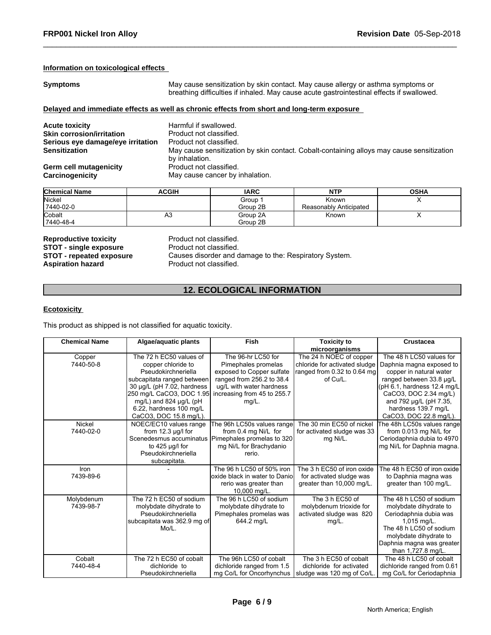### **Information on toxicological effects**

**Symptoms** May cause sensitization by skin contact. May cause allergy or asthma symptoms or breathing difficulties if inhaled. May cause acute gastrointestinal effects if swallowed.

### **Delayed and immediate effects as well as chronic effects from short and long-term exposure**

| <b>Chemical Name</b> | <b>ACGIH</b> | <b>IARC</b> | <b>NTP</b>             | <b>OSHA</b> |
|----------------------|--------------|-------------|------------------------|-------------|
| Nickel               |              | Group       | Known                  | ,           |
| 7440-02-0            |              | Group 2B    | Reasonably Anticipated |             |
| Cobalt               | Аә           | Group 2A    | Known                  | $\lambda$   |
| 7440-48-4            |              | Group 2B    |                        |             |

**Reproductive toxicity example 3 Reproductive Product not classified.**<br> **STOT - single exposure** Product not classified. **STOT - single exposure<br>STOT - repeated exposure** 

# **12. ECOLOGICAL INFORMATION**

# **Ecotoxicity**

| NGPI DUUDLIYG LOAIDILY<br><b>STOT - single exposure</b><br><b>STOT - repeated exposure</b><br><b>Aspiration hazard</b> | Product not classified.<br>Product not classified.                                                                                                                                                                                          | Causes disorder and damage to the: Respiratory System.                                                                                                                  |                                                                                                             |                                                                                                                                                                                                                                                |  |  |
|------------------------------------------------------------------------------------------------------------------------|---------------------------------------------------------------------------------------------------------------------------------------------------------------------------------------------------------------------------------------------|-------------------------------------------------------------------------------------------------------------------------------------------------------------------------|-------------------------------------------------------------------------------------------------------------|------------------------------------------------------------------------------------------------------------------------------------------------------------------------------------------------------------------------------------------------|--|--|
| <b>12. ECOLOGICAL INFORMATION</b>                                                                                      |                                                                                                                                                                                                                                             |                                                                                                                                                                         |                                                                                                             |                                                                                                                                                                                                                                                |  |  |
| <b>Ecotoxicity</b>                                                                                                     |                                                                                                                                                                                                                                             |                                                                                                                                                                         |                                                                                                             |                                                                                                                                                                                                                                                |  |  |
|                                                                                                                        | This product as shipped is not classified for aquatic toxicity.                                                                                                                                                                             |                                                                                                                                                                         |                                                                                                             |                                                                                                                                                                                                                                                |  |  |
| <b>Chemical Name</b>                                                                                                   | Algae/aquatic plants                                                                                                                                                                                                                        | Fish                                                                                                                                                                    | <b>Toxicity to</b><br>microorganisms                                                                        | <b>Crustacea</b>                                                                                                                                                                                                                               |  |  |
| Copper<br>7440-50-8                                                                                                    | The 72 h EC50 values of<br>copper chloride to<br>Pseudokirchneriella<br>subcapitata ranged between<br>30 µg/L (pH 7.02, hardness<br>250 mg/L CaCO3, DOC 1.95<br>mg/L) and 824 µg/L (pH<br>6.22, hardness 100 mg/L<br>CaCO3, DOC 15.8 mg/L). | The 96-hr LC50 for<br>Pimephales promelas<br>exposed to Copper sulfate<br>ranged from 256.2 to 38.4<br>ug/L with water hardness<br>increasing from 45 to 255.7<br>mg/L. | The 24 h NOEC of copper<br>chloride for activated sludge<br>ranged from 0.32 to 0.64 mg<br>of Cu/L.         | The 48 h LC50 values for<br>Daphnia magna exposed to<br>copper in natural water<br>ranged between 33.8 µg/L<br>(pH 6.1, hardness 12.4 mg/L<br>CaCO3, DOC 2.34 mg/L)<br>and 792 µg/L (pH 7.35,<br>hardness 139.7 mg/L<br>CaCO3, DOC 22.8 mg/L). |  |  |
| Nickel<br>7440-02-0                                                                                                    | NOEC/EC10 values range<br>from $12.3 \mu g/l$ for<br>to $425 \mu g/l$ for<br>Pseudokirchneriella<br>subcapitata.                                                                                                                            | The 96h LC50s values range<br>from 0.4 mg Ni/L for<br>Scenedesmus accuminatus Pimephales promelas to 320<br>mg Ni/L for Brachydanio<br>rerio.                           | The 30 min EC50 of nickel<br>for activated sludge was 33<br>mg Ni/L.                                        | The 48h LC50s values range<br>from 0.013 mg Ni/L for<br>Ceriodaphnia dubia to 4970<br>mg Ni/L for Daphnia magna.                                                                                                                               |  |  |
| Iron<br>7439-89-6                                                                                                      |                                                                                                                                                                                                                                             | The 96 h LC50 of 50% iron<br>oxide black in water to Danio<br>rerio was greater than<br>10,000 mg/L.                                                                    | The 3 h EC50 of iron oxide<br>for activated sludge was<br>greater than 10,000 mg/L.                         | The 48 h EC50 of iron oxide<br>to Daphnia magna was<br>greater than 100 mg/L.                                                                                                                                                                  |  |  |
| Molybdenum<br>7439-98-7                                                                                                | The 72 h EC50 of sodium<br>molybdate dihydrate to<br>Pseudokirchneriella<br>subcapitata was 362.9 mg of<br>Mo/L.                                                                                                                            | The 96 h LC50 of sodium<br>molybdate dihydrate to<br>Pimephales promelas was<br>644.2 mg/L                                                                              | The 3 h EC50 of<br>molybdenum trioxide for<br>activated sludge was 820<br>$mg/L$ .                          | The 48 h LC50 of sodium<br>molybdate dihydrate to<br>Ceriodaphnia dubia was<br>1,015 mg/L.<br>The 48 h LC50 of sodium<br>molybdate dihydrate to<br>Daphnia magna was greater<br>than 1,727.8 mg/L.                                             |  |  |
| Cobalt<br>7440-48-4                                                                                                    | The 72 h EC50 of cobalt<br>dichloride to<br>Pseudokirchneriella                                                                                                                                                                             | The 96h LC50 of cobalt<br>dichloride ranged from 1.5                                                                                                                    | The 3 h EC50 of cobalt<br>dichloride for activated<br>mg Co/L for Oncorhynchus   sludge was 120 mg of Co/L. | The 48 h LC50 of cobalt<br>dichloride ranged from 0.61<br>mg Co/L for Ceriodaphnia                                                                                                                                                             |  |  |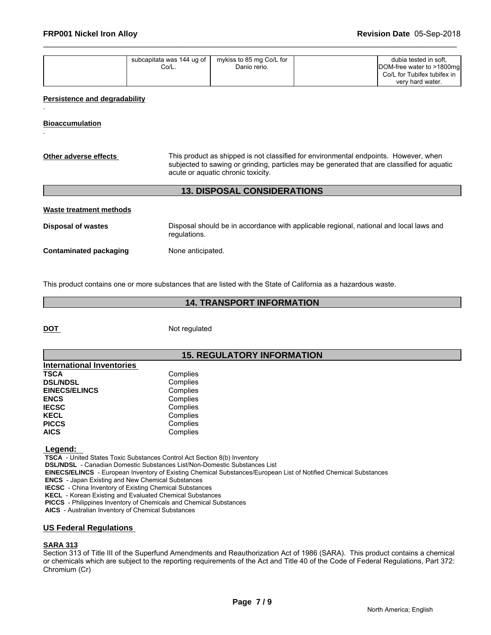| mykiss to 85 mg Co/L for<br>subcapitata was 144 ug of<br>Co/L.<br>Danio rerio. | dubia tested in soft.<br>DOM-free water to >1800mg<br>Co/L for Tubifex tubifex in<br>very hard water. |  |
|--------------------------------------------------------------------------------|-------------------------------------------------------------------------------------------------------|--|
|--------------------------------------------------------------------------------|-------------------------------------------------------------------------------------------------------|--|

### **Persistence and degradability**

**Bioaccumulation**

.

.

| Other adverse effects     | This product as shipped is not classified for environmental endpoints. However, when<br>subjected to sawing or grinding, particles may be generated that are classified for aquatic<br>acute or aquatic chronic toxicity. |
|---------------------------|---------------------------------------------------------------------------------------------------------------------------------------------------------------------------------------------------------------------------|
|                           | <b>13. DISPOSAL CONSIDERATIONS</b>                                                                                                                                                                                        |
| Waste treatment methods   |                                                                                                                                                                                                                           |
| <b>Disposal of wastes</b> | Disposal should be in accordance with applicable regional, national and local laws and<br>regulations.                                                                                                                    |

**Contaminated packaging Mone anticipated.** 

This product contains one or more substances that are listed with the State of California as a hazardous waste.

# **14. TRANSPORT INFORMATION**

**DOT** Not regulated

# **15. REGULATORY INFORMATION**

| <b>International Inventories</b> |          |
|----------------------------------|----------|
| <b>TSCA</b>                      | Complies |
| <b>DSL/NDSL</b>                  | Complies |
| <b>EINECS/ELINCS</b>             | Complies |
| <b>ENCS</b>                      | Complies |
| <b>IECSC</b>                     | Complies |
| <b>KECL</b>                      | Complies |
| <b>PICCS</b>                     | Complies |
| <b>AICS</b>                      | Complies |

 **Legend:** 

 **TSCA** - United States Toxic Substances Control Act Section 8(b) Inventory

 **DSL/NDSL** - Canadian Domestic Substances List/Non-Domestic Substances List

 **EINECS/ELINCS** - European Inventory of Existing Chemical Substances/European List of Notified Chemical Substances

 **ENCS** - Japan Existing and New Chemical Substances

 **IECSC** - China Inventory of Existing Chemical Substances

 **KECL** - Korean Existing and Evaluated Chemical Substances

 **PICCS** - Philippines Inventory of Chemicals and Chemical Substances

 **AICS** - Australian Inventory of Chemical Substances

### **US Federal Regulations**

### **SARA 313**

Section 313 of Title III of the Superfund Amendments and Reauthorization Act of 1986 (SARA). This product contains a chemical or chemicals which are subject to the reporting requirements of the Act and Title 40 of the Code of Federal Regulations, Part 372: Chromium (Cr)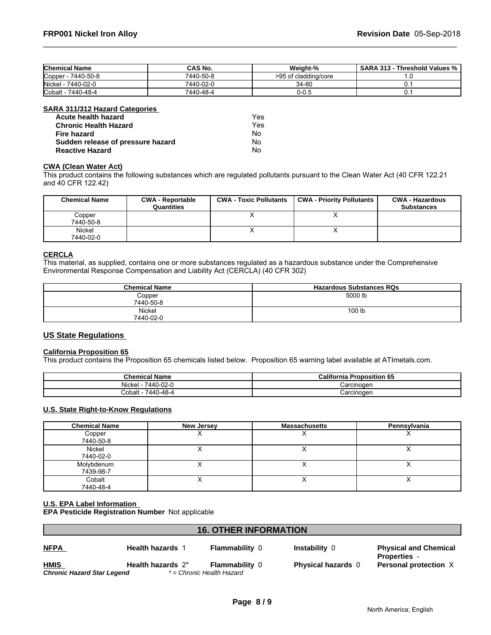| <b>Chemical Name</b>         | <b>CAS No.</b> | Weight-%             | <b>SARA 313</b><br>Threshold Values % |
|------------------------------|----------------|----------------------|---------------------------------------|
| $-7440 - 50 - 8$<br>Copper . | 7440-50-8      | >95 of cladding/core |                                       |
| 7440-02-0<br>Nickel          | 7440-02-0      | 34-80                |                                       |
| Cobalt -<br>7440-48-4        | 7440-48-4      | 0-0.5                |                                       |

### **SARA 311/312 Hazard Categories**

| Acute health hazard               | Yes |
|-----------------------------------|-----|
| <b>Chronic Health Hazard</b>      | Yes |
| Fire hazard                       | N٥  |
| Sudden release of pressure hazard | Nο  |
| <b>Reactive Hazard</b>            | No  |

# **CWA (Clean Water Act)**

| Acute health hazard                       |                                       | Yes.                          |                                                                                                                              |                                             |
|-------------------------------------------|---------------------------------------|-------------------------------|------------------------------------------------------------------------------------------------------------------------------|---------------------------------------------|
| <b>Chronic Health Hazard</b>              |                                       | Yes.                          |                                                                                                                              |                                             |
| <b>Fire hazard</b>                        |                                       | No                            |                                                                                                                              |                                             |
| Sudden release of pressure hazard         |                                       | No                            |                                                                                                                              |                                             |
| <b>Reactive Hazard</b>                    |                                       | No.                           |                                                                                                                              |                                             |
| <b>CWA (Clean Water Act)</b>              |                                       |                               | This product contains the following substances which are regulated pollutants pursuant to the Clean Water Act (40 CFR 122.21 |                                             |
|                                           |                                       |                               |                                                                                                                              |                                             |
| <b>Chemical Name</b>                      | <b>CWA - Reportable</b><br>Quantities | <b>CWA - Toxic Pollutants</b> | <b>CWA - Priority Pollutants</b>                                                                                             | <b>CWA - Hazardous</b><br><b>Substances</b> |
| Copper                                    |                                       | x                             | X                                                                                                                            |                                             |
| 7440-50-8                                 |                                       |                               |                                                                                                                              |                                             |
| and 40 CFR 122.42)<br>Nickel<br>7440-02-0 |                                       | x                             | X                                                                                                                            |                                             |

# **CERCLA**

This material, as supplied, contains one or more substances regulated as a hazardous substance under the Comprehensive Environmental Response Compensation and Liability Act (CERCLA) (40 CFR 302)

| <b>Chemical Name</b> | <b>Hazardous Substances RQs</b> |
|----------------------|---------------------------------|
| Copper<br>7440-50-8  | 5000 lb                         |
| Nickel<br>7440-02-0  | 100 lb                          |

# **US State Regulations**

### **California Proposition 65**

This product contains the Proposition 65 chemicals listed below. Proposition 65 warning label available at ATImetals.com.

| <b>Chemical Name</b>        | California<br><b>Proposition 65</b> |
|-----------------------------|-------------------------------------|
| 0-02-С<br>Nickel<br>7440    | Carcinoger                          |
| )-48-4<br>7440-4<br>ش∆obalt | Carcinoger                          |

# **U.S. State Right-to-Know Regulations**

| <b>Chemical Name</b> | New Jersey | <b>Massachusetts</b> | Pennsylvania             |
|----------------------|------------|----------------------|--------------------------|
| Copper               |            | ,                    | $\overline{\phantom{a}}$ |
| 7440-50-8            |            |                      |                          |
| Nickel               |            |                      |                          |
| 7440-02-0            |            |                      |                          |
| Molybdenum           |            |                      |                          |
| 7439-98-7            |            |                      |                          |
| Cobalt               |            |                      | ↗                        |
| 7440-48-4            |            |                      |                          |

# **U.S. EPA Label Information**

**EPA Pesticide Registration Number** Not applicable

|                                           |                         | <b>16. OTHER INFORMATION</b>                       |                           |                                                     |  |
|-------------------------------------------|-------------------------|----------------------------------------------------|---------------------------|-----------------------------------------------------|--|
| <u>NFPA</u>                               | <b>Health hazards</b> 1 | <b>Flammability 0</b>                              | Instability 0             | <b>Physical and Chemical</b><br><b>Properties</b> - |  |
| <b>HMIS</b><br>Chronic Hazard Star Legend | Health hazards 2*       | <b>Flammability 0</b><br>* = Chronic Health Hazard | <b>Physical hazards 0</b> | <b>Personal protection X</b>                        |  |